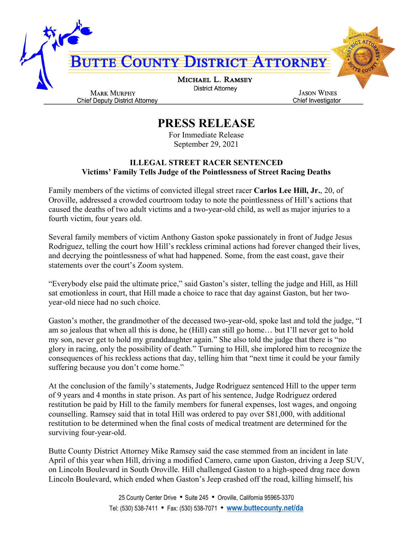

## **PRESS RELEASE**

For Immediate Release September 29, 2021

## **ILLEGAL STREET RACER SENTENCED Victims' Family Tells Judge of the Pointlessness of Street Racing Deaths**

Family members of the victims of convicted illegal street racer **Carlos Lee Hill, Jr.**, 20, of Oroville, addressed a crowded courtroom today to note the pointlessness of Hill's actions that caused the deaths of two adult victims and a two-year-old child, as well as major injuries to a fourth victim, four years old.

Several family members of victim Anthony Gaston spoke passionately in front of Judge Jesus Rodriguez, telling the court how Hill's reckless criminal actions had forever changed their lives, and decrying the pointlessness of what had happened. Some, from the east coast, gave their statements over the court's Zoom system.

"Everybody else paid the ultimate price," said Gaston's sister, telling the judge and Hill, as Hill sat emotionless in court, that Hill made a choice to race that day against Gaston, but her twoyear-old niece had no such choice.

Gaston's mother, the grandmother of the deceased two-year-old, spoke last and told the judge, "I am so jealous that when all this is done, he (Hill) can still go home… but I'll never get to hold my son, never get to hold my granddaughter again." She also told the judge that there is "no glory in racing, only the possibility of death." Turning to Hill, she implored him to recognize the consequences of his reckless actions that day, telling him that "next time it could be your family suffering because you don't come home."

At the conclusion of the family's statements, Judge Rodriguez sentenced Hill to the upper term of 9 years and 4 months in state prison. As part of his sentence, Judge Rodriguez ordered restitution be paid by Hill to the family members for funeral expenses, lost wages, and ongoing counselling. Ramsey said that in total Hill was ordered to pay over \$81,000, with additional restitution to be determined when the final costs of medical treatment are determined for the surviving four-year-old.

Butte County District Attorney Mike Ramsey said the case stemmed from an incident in late April of this year when Hill, driving a modified Camero, came upon Gaston, driving a Jeep SUV, on Lincoln Boulevard in South Oroville. Hill challenged Gaston to a high-speed drag race down Lincoln Boulevard, which ended when Gaston's Jeep crashed off the road, killing himself, his